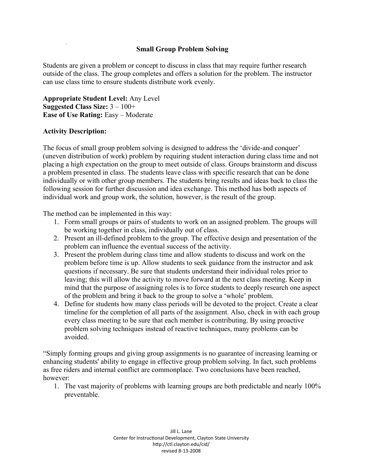## **Small Group Problem Solving**

Students are given a problem or concept to discuss in class that may require further research outside of the class. The group completes and offers a solution for the problem. The instructor can use class time to ensure students distribute work evenly.

**Appropriate Student Level:** Any Level **Suggested Class Size:** 3 – 100+ **Ease of Use Rating: Easy – Moderate** 

## **Activity Description:**

The focus of small group problem solving is designed to address the 'divide-and conquer' (uneven distribution of work) problem by requiring student interaction during class time and not placing a high expectation on the group to meet outside of class. Groups brainstorm and discuss a problem presented in class. The students leave class with specific research that can be done individually or with other group members. The students bring results and ideas back to class the following session for further discussion and idea exchange. This method has both aspects of individual work and group work, the solution, however, is the result of the group.

The method can be implemented in this way:

- 1. Form small groups or pairs of students to work on an assigned problem. The groups will be working together in class, individually out of class.
- 2. Present an ill-defined problem to the group. The effective design and presentation of the problem can influence the eventual success of the activity.
- 3. Present the problem during class time and allow students to discuss and work on the problem before time is up. Allow students to seek guidance from the instructor and ask questions if necessary. Be sure that students understand their individual roles prior to leaving; this will allow the activity to move forward at the next class meeting. Keep in mind that the purpose of assigning roles is to force students to deeply research one aspect of the problem and bring it back to the group to solve a 'whole' problem.
- 4. Define for students how many class periods will be devoted to the project. Create a clear timeline for the completion of all parts of the assignment. Also, check in with each group every class meeting to be sure that each member is contributing. By using proactive problem solving techniques instead of reactive techniques, many problems can be avoided.

"Simply forming groups and giving group assignments is no guarantee of increasing learning or enhancing students' ability to engage in effective group problem solving. In fact, such problems as free riders and internal conflict are commonplace. Two conclusions have been reached, however:

1. The vast majority of problems with learning groups are both predictable and nearly 100% preventable.